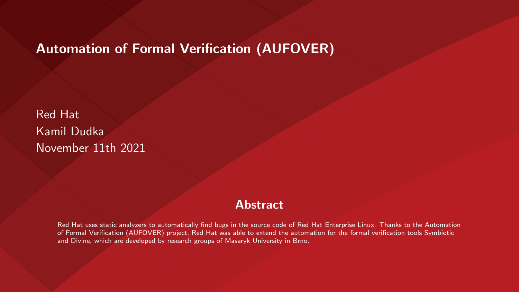#### Automation of Formal Verification (AUFOVER)

Red Hat Kamil Dudka November 11th 2021

#### **Abstract**

Red Hat uses static analyzers to automatically find bugs in the source code of Red Hat Enterprise Linux. Thanks to the Automation of Formal Verification (AUFOVER) project, Red Hat was able to extend the automation for the formal verification tools Symbiotic and Divine, which are developed by research groups of Masaryk University in Brno.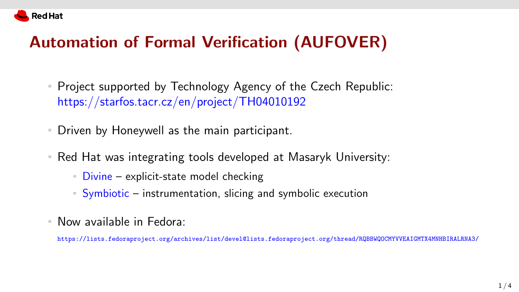

# Automation of Formal Verification (AUFOVER)

- Project supported by Technology Agency of the Czech Republic: <https://starfos.tacr.cz/en/project/TH04010192>
- Driven by Honeywell as the main participant.
- Red Hat was integrating tools developed at Masaryk University:
	- $\blacksquare$  Divine explicit-state model checking
	- Symbiotic instrumentation, slicing and symbolic execution
- Now available in Fedora:

<https://lists.fedoraproject.org/archives/list/devel@lists.fedoraproject.org/thread/RQBBWQOCMYVVEAIGMTX4MNHBIRALRNA3/>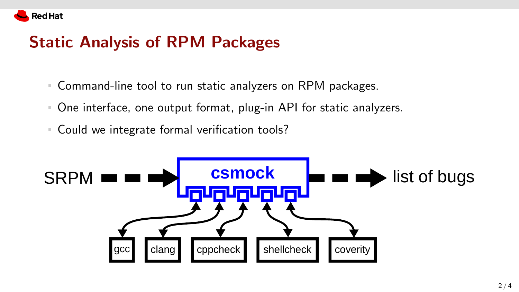

## Static Analysis of RPM Packages

- Command-line tool to run static analyzers on RPM packages.
- One interface, one output format, plug-in API for static analyzers.
- Could we integrate formal verification tools?

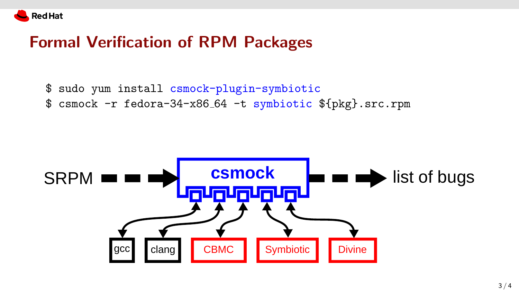

### Formal Verification of RPM Packages

- \$ sudo yum install csmock-plugin-symbiotic
- \$ csmock -r fedora-34-x86 64 -t symbiotic \${pkg}.src.rpm